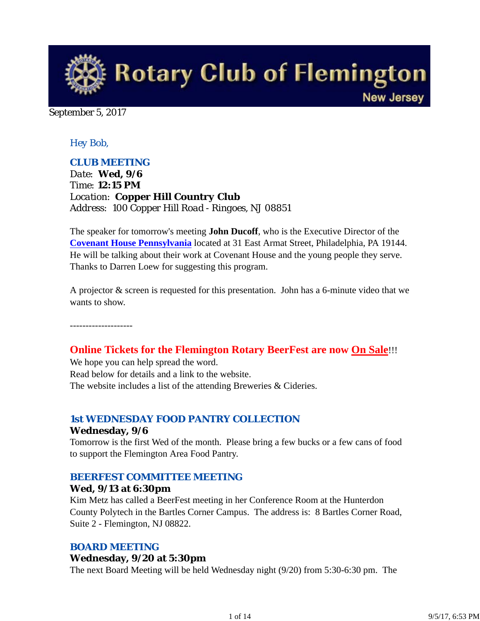

September 5, 2017

## *Hey Bob,*

## *CLUB MEETING*

*Date: Wed, 9/6 Time: 12:15 PM Location: Copper Hill Country Club Address: 100 Copper Hill Road - Ringoes, NJ 08851*

The speaker for tomorrow's meeting **John Ducoff**, who is the Executive Director of the **Covenant House Pennsylvania** located at 31 East Armat Street, Philadelphia, PA 19144. He will be talking about their work at Covenant House and the young people they serve. Thanks to Darren Loew for suggesting this program.

A projector & screen is requested for this presentation. John has a 6-minute video that we wants to show.

--------------------

## **Online Tickets for the Flemington Rotary BeerFest are now On Sale**!!!

We hope you can help spread the word. Read below for details and a link to the website. The website includes a list of the attending Breweries & Cideries.

#### *1st WEDNESDAY FOOD PANTRY COLLECTION*

#### **Wednesday, 9/6**

Tomorrow is the first Wed of the month. Please bring a few bucks or a few cans of food to support the Flemington Area Food Pantry.

#### *BEERFEST COMMITTEE MEETING*

#### **Wed, 9/13 at 6:30pm**

Kim Metz has called a BeerFest meeting in her Conference Room at the Hunterdon County Polytech in the Bartles Corner Campus. The address is: 8 Bartles Corner Road, Suite 2 - Flemington, NJ 08822.

## *BOARD MEETING*

#### **Wednesday, 9/20 at 5:30pm**

The next Board Meeting will be held Wednesday night (9/20) from 5:30-6:30 pm. The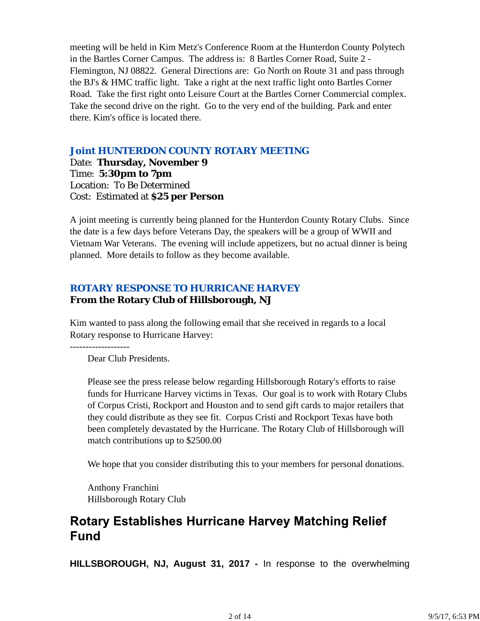meeting will be held in Kim Metz's Conference Room at the Hunterdon County Polytech in the Bartles Corner Campus. The address is: 8 Bartles Corner Road, Suite 2 - Flemington, NJ 08822. General Directions are: Go North on Route 31 and pass through the BJ's & HMC traffic light. Take a right at the next traffic light onto Bartles Corner Road. Take the first right onto Leisure Court at the Bartles Corner Commercial complex. Take the second drive on the right. Go to the very end of the building. Park and enter there. Kim's office is located there.

## *Joint HUNTERDON COUNTY ROTARY MEETING*

Date: **Thursday, November 9** Time: **5:30pm to 7pm** Location: To Be Determined Cost: Estimated at **\$25 per Person**

A joint meeting is currently being planned for the Hunterdon County Rotary Clubs. Since the date is a few days before Veterans Day, the speakers will be a group of WWII and Vietnam War Veterans. The evening will include appetizers, but no actual dinner is being planned. More details to follow as they become available.

## *ROTARY RESPONSE TO HURRICANE HARVEY* **From the Rotary Club of Hillsborough, NJ**

Kim wanted to pass along the following email that she received in regards to a local Rotary response to Hurricane Harvey:

Dear Club Presidents.

Please see the press release below regarding Hillsborough Rotary's efforts to raise funds for Hurricane Harvey victims in Texas. Our goal is to work with Rotary Clubs of Corpus Cristi, Rockport and Houston and to send gift cards to major retailers that they could distribute as they see fit. Corpus Cristi and Rockport Texas have both been completely devastated by the Hurricane. The Rotary Club of Hillsborough will match contributions up to \$2500.00

We hope that you consider distributing this to your members for personal donations.

Anthony Franchini Hillsborough Rotary Club

# **Rotary Establishes Hurricane Harvey Matching Relief Fund**

**HILLSBOROUGH, NJ, August 31, 2017 -** In response to the overwhelming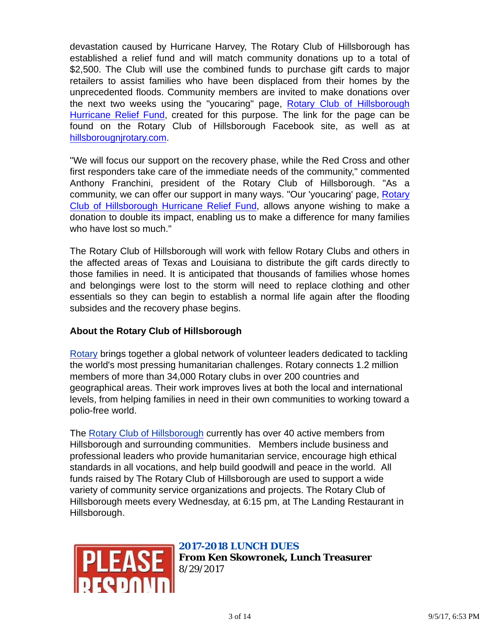devastation caused by Hurricane Harvey, The Rotary Club of Hillsborough has established a relief fund and will match community donations up to a total of \$2,500. The Club will use the combined funds to purchase gift cards to major retailers to assist families who have been displaced from their homes by the unprecedented floods. Community members are invited to make donations over the next two weeks using the "youcaring" page, Rotary Club of Hillsborough Hurricane Relief Fund, created for this purpose. The link for the page can be found on the Rotary Club of Hillsborough Facebook site, as well as at hillsborougnjrotary.com.

"We will focus our support on the recovery phase, while the Red Cross and other first responders take care of the immediate needs of the community," commented Anthony Franchini, president of the Rotary Club of Hillsborough. "As a community, we can offer our support in many ways. "Our 'youcaring' page, Rotary Club of Hillsborough Hurricane Relief Fund, allows anyone wishing to make a donation to double its impact, enabling us to make a difference for many families who have lost so much."

The Rotary Club of Hillsborough will work with fellow Rotary Clubs and others in the affected areas of Texas and Louisiana to distribute the gift cards directly to those families in need. It is anticipated that thousands of families whose homes and belongings were lost to the storm will need to replace clothing and other essentials so they can begin to establish a normal life again after the flooding subsides and the recovery phase begins.

## **About the Rotary Club of Hillsborough**

Rotary brings together a global network of volunteer leaders dedicated to tackling the world's most pressing humanitarian challenges. Rotary connects 1.2 million members of more than 34,000 Rotary clubs in over 200 countries and geographical areas. Their work improves lives at both the local and international levels, from helping families in need in their own communities to working toward a polio-free world.

The Rotary Club of Hillsborough currently has over 40 active members from Hillsborough and surrounding communities. Members include business and professional leaders who provide humanitarian service, encourage high ethical standards in all vocations, and help build goodwill and peace in the world. All funds raised by The Rotary Club of Hillsborough are used to support a wide variety of community service organizations and projects. The Rotary Club of Hillsborough meets every Wednesday, at 6:15 pm, at The Landing Restaurant in Hillsborough.



## *2017-2018 LUNCH DUES*

**From Ken Skowronek, Lunch Treasurer** 8/29/2017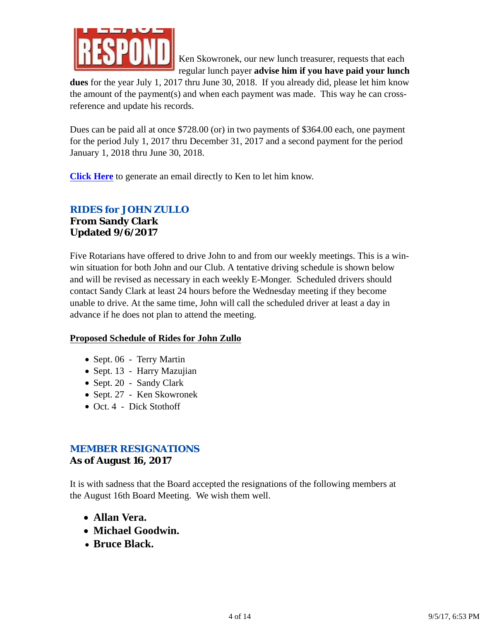

Ken Skowronek, our new lunch treasurer, requests that each regular lunch payer **advise him if you have paid your lunch**

**dues** for the year July 1, 2017 thru June 30, 2018. If you already did, please let him know the amount of the payment(s) and when each payment was made. This way he can crossreference and update his records.

Dues can be paid all at once \$728.00 (or) in two payments of \$364.00 each, one payment for the period July 1, 2017 thru December 31, 2017 and a second payment for the period January 1, 2018 thru June 30, 2018.

**Click Here** to generate an email directly to Ken to let him know.

## *RIDES for JOHN ZULLO*

**From Sandy Clark Updated 9/6/2017**

Five Rotarians have offered to drive John to and from our weekly meetings. This is a winwin situation for both John and our Club. A tentative driving schedule is shown below and will be revised as necessary in each weekly E-Monger. Scheduled drivers should contact Sandy Clark at least 24 hours before the Wednesday meeting if they become unable to drive. At the same time, John will call the scheduled driver at least a day in advance if he does not plan to attend the meeting.

## **Proposed Schedule of Rides for John Zullo**

- Sept. 06 Terry Martin
- Sept. 13 Harry Mazujian
- Sept. 20 Sandy Clark
- Sept. 27 Ken Skowronek
- Oct. 4 Dick Stothoff

## *MEMBER RESIGNATIONS*

## **As of August 16, 2017**

It is with sadness that the Board accepted the resignations of the following members at the August 16th Board Meeting. We wish them well.

- **Allan Vera.**
- **Michael Goodwin.**
- **Bruce Black.**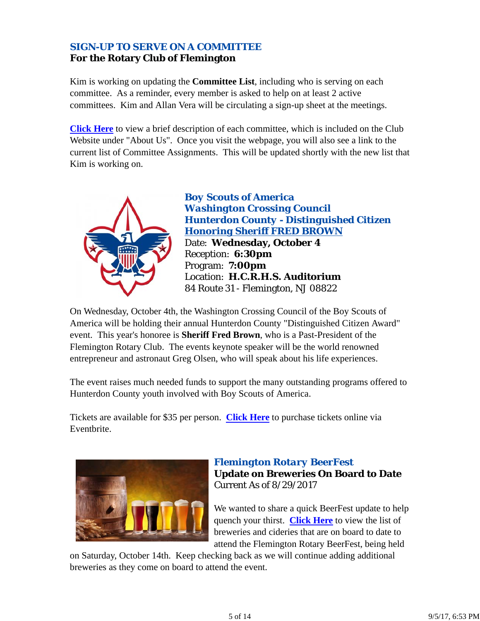## *SIGN-UP TO SERVE ON A COMMITTEE* **For the Rotary Club of Flemington**

Kim is working on updating the **Committee List**, including who is serving on each committee. As a reminder, every member is asked to help on at least 2 active committees. Kim and Allan Vera will be circulating a sign-up sheet at the meetings.

**Click Here** to view a brief description of each committee, which is included on the Club Website under "About Us". Once you visit the webpage, you will also see a link to the current list of Committee Assignments. This will be updated shortly with the new list that Kim is working on.



*Boy Scouts of America Washington Crossing Council Hunterdon County - Distinguished Citizen Honoring Sheriff FRED BROWN* Date: **Wednesday, October 4** Reception: **6:30pm** Program: **7:00pm** Location: **H.C.R.H.S. Auditorium** 84 Route 31 - Flemington, NJ 08822

On Wednesday, October 4th, the Washington Crossing Council of the Boy Scouts of America will be holding their annual Hunterdon County "Distinguished Citizen Award" event. This year's honoree is **Sheriff Fred Brown**, who is a Past-President of the Flemington Rotary Club. The events keynote speaker will be the world renowned entrepreneur and astronaut Greg Olsen, who will speak about his life experiences.

The event raises much needed funds to support the many outstanding programs offered to Hunterdon County youth involved with Boy Scouts of America.

Tickets are available for \$35 per person. **Click Here** to purchase tickets online via Eventbrite.



## *Flemington Rotary BeerFest* **Update on Breweries On Board to Date** Current As of 8/29/2017

We wanted to share a quick BeerFest update to help quench your thirst. **Click Here** to view the list of breweries and cideries that are on board to date to attend the Flemington Rotary BeerFest, being held

on Saturday, October 14th. Keep checking back as we will continue adding additional breweries as they come on board to attend the event.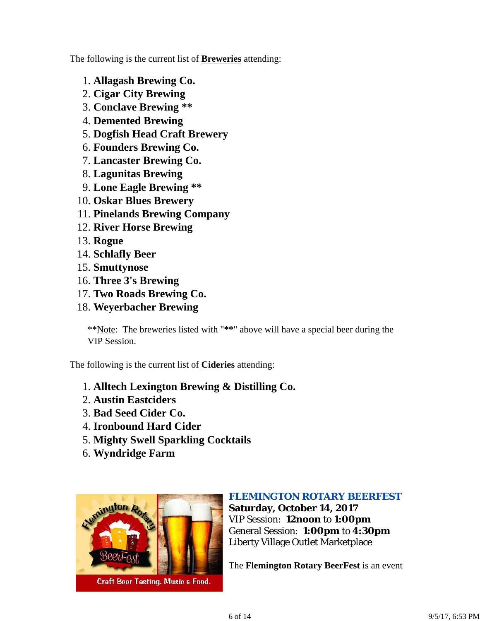The following is the current list of **Breweries** attending:

- 1. **Allagash Brewing Co.**
- 2. **Cigar City Brewing**
- 3. **Conclave Brewing \*\***
- 4. **Demented Brewing**
- 5. **Dogfish Head Craft Brewery**
- 6. **Founders Brewing Co.**
- 7. **Lancaster Brewing Co.**
- 8. **Lagunitas Brewing**
- 9. **Lone Eagle Brewing \*\***
- 10. **Oskar Blues Brewery**
- 11. **Pinelands Brewing Company**
- 12. **River Horse Brewing**
- 13. **Rogue**
- 14. **Schlafly Beer**
- 15. **Smuttynose**
- 16. **Three 3's Brewing**
- 17. **Two Roads Brewing Co.**
- 18. **Weyerbacher Brewing**

\*\*Note: The breweries listed with "**\*\***" above will have a special beer during the VIP Session.

The following is the current list of **Cideries** attending:

- 1. **Alltech Lexington Brewing & Distilling Co.**
- 2. **Austin Eastciders**
- 3. **Bad Seed Cider Co.**
- 4. **Ironbound Hard Cider**
- 5. **Mighty Swell Sparkling Cocktails**
- 6. **Wyndridge Farm**



## *FLEMINGTON ROTARY BEERFEST*

**Saturday, October 14, 2017** VIP Session: **12noon** to **1:00pm** General Session: **1:00pm** to **4:30pm** Liberty Village Outlet Marketplace

The **Flemington Rotary BeerFest** is an event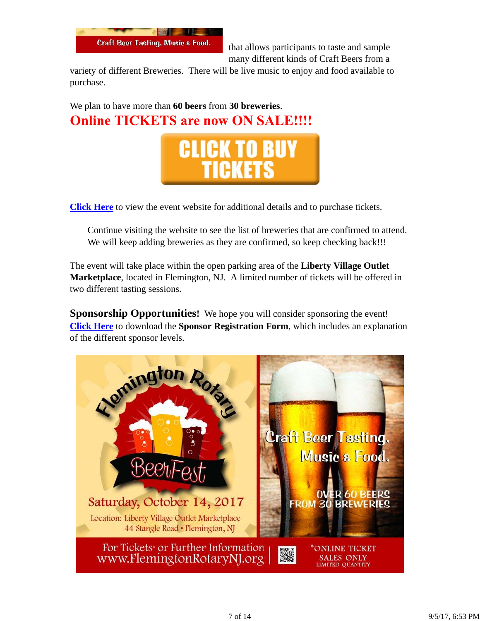

that allows participants to taste and sample many different kinds of Craft Beers from a

variety of different Breweries. There will be live music to enjoy and food available to purchase.

We plan to have more than **60 beers** from **30 breweries**. **Online TICKETS are now ON SALE!!!!** 



**Click Here** to view the event website for additional details and to purchase tickets.

Continue visiting the website to see the list of breweries that are confirmed to attend. We will keep adding breweries as they are confirmed, so keep checking back!!!

The event will take place within the open parking area of the **Liberty Village Outlet Marketplace**, located in Flemington, NJ. A limited number of tickets will be offered in two different tasting sessions.

**Sponsorship Opportunities!** We hope you will consider sponsoring the event! **Click Here** to download the **Sponsor Registration Form**, which includes an explanation of the different sponsor levels.

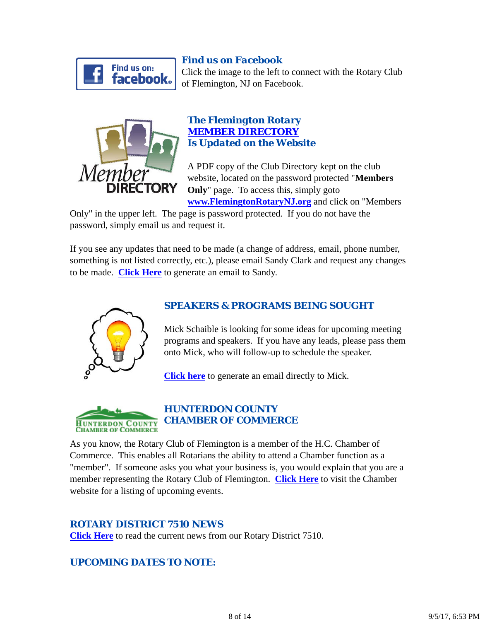

## *Find us on Facebook*

Click the image to the left to connect with the Rotary Club of Flemington, NJ on Facebook.



## *The Flemington Rotary MEMBER DIRECTORY Is Updated on the Website*

A PDF copy of the Club Directory kept on the club website, located on the password protected "**Members Only**" page. To access this, simply goto **www.FlemingtonRotaryNJ.org** and click on "Members

Only" in the upper left. The page is password protected. If you do not have the password, simply email us and request it.

If you see any updates that need to be made (a change of address, email, phone number, something is not listed correctly, etc.), please email Sandy Clark and request any changes to be made. **Click Here** to generate an email to Sandy.



## *SPEAKERS & PROGRAMS BEING SOUGHT*

Mick Schaible is looking for some ideas for upcoming meeting programs and speakers. If you have any leads, please pass them onto Mick, who will follow-up to schedule the speaker.

**Click here** to generate an email directly to Mick.



As you know, the Rotary Club of Flemington is a member of the H.C. Chamber of Commerce. This enables all Rotarians the ability to attend a Chamber function as a "member". If someone asks you what your business is, you would explain that you are a member representing the Rotary Club of Flemington. **Click Here** to visit the Chamber website for a listing of upcoming events.

## *ROTARY DISTRICT 7510 NEWS*

**Click Here** to read the current news from our Rotary District 7510.

## *UPCOMING DATES TO NOTE:*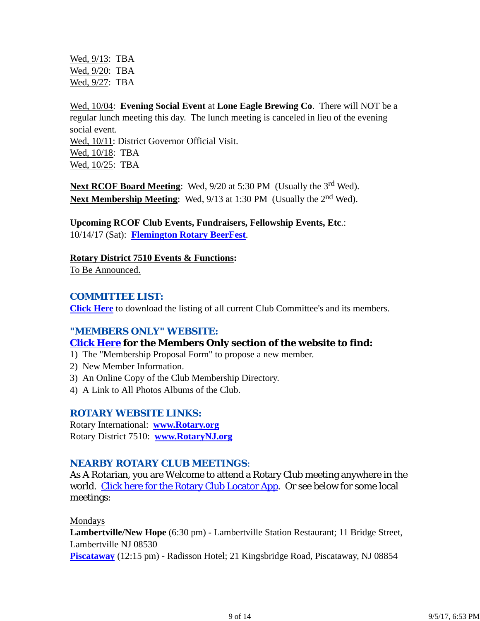Wed, 9/13: TBA Wed, 9/20: TBA Wed, 9/27: TBA

Wed, 10/04: **Evening Social Event** at **Lone Eagle Brewing Co**. There will NOT be a regular lunch meeting this day. The lunch meeting is canceled in lieu of the evening social event. Wed, 10/11: District Governor Official Visit. Wed, 10/18: TBA Wed, 10/25: TBA

Next RCOF Board Meeting: Wed, 9/20 at 5:30 PM (Usually the 3<sup>rd</sup> Wed). **Next Membership Meeting:** Wed, 9/13 at 1:30 PM (Usually the 2<sup>nd</sup> Wed).

**Upcoming RCOF Club Events, Fundraisers, Fellowship Events, Etc**.: 10/14/17 (Sat): **Flemington Rotary BeerFest**.

**Rotary District 7510 Events & Functions:**

To Be Announced.

## *COMMITTEE LIST:*

**Click Here** to download the listing of all current Club Committee's and its members.

## *"MEMBERS ONLY" WEBSITE:*

## **Click Here for the Members Only section of the website to find:**

- 1) The "Membership Proposal Form" to propose a new member.
- 2) New Member Information.
- 3) An Online Copy of the Club Membership Directory.
- 4) A Link to All Photos Albums of the Club.

## *ROTARY WEBSITE LINKS:*

Rotary International: **www.Rotary.org** Rotary District 7510: **www.RotaryNJ.org**

## *NEARBY ROTARY CLUB MEETINGS:*

As A Rotarian, you are Welcome to attend a Rotary Club meeting anywhere in the world. Click here for the Rotary Club Locator App. Or see below for some local meetings:

Mondays

**Lambertville/New Hope** (6:30 pm) - Lambertville Station Restaurant; 11 Bridge Street, Lambertville NJ 08530

**Piscataway** (12:15 pm) - Radisson Hotel; 21 Kingsbridge Road, Piscataway, NJ 08854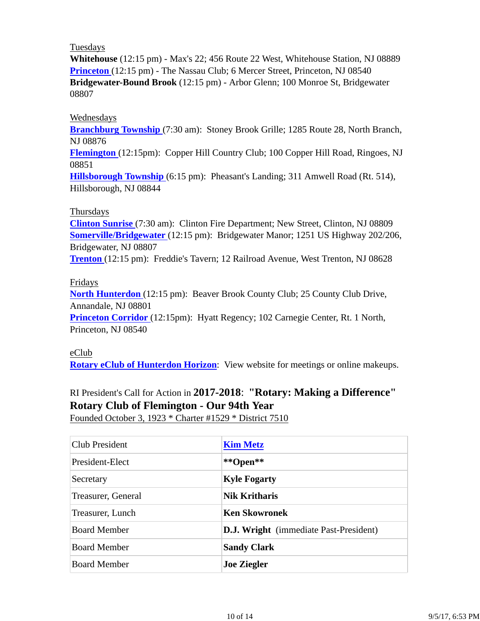#### Tuesdays

**Whitehouse** (12:15 pm) - Max's 22; 456 Route 22 West, Whitehouse Station, NJ 08889 **Princeton** (12:15 pm) - The Nassau Club; 6 Mercer Street, Princeton, NJ 08540 **Bridgewater-Bound Brook** (12:15 pm) - Arbor Glenn; 100 Monroe St, Bridgewater 08807

#### Wednesdays

**Branchburg Township** (7:30 am): Stoney Brook Grille; 1285 Route 28, North Branch, NJ 08876

**Flemington** (12:15pm): Copper Hill Country Club; 100 Copper Hill Road, Ringoes, NJ 08851

**Hillsborough Township** (6:15 pm): Pheasant's Landing; 311 Amwell Road (Rt. 514), Hillsborough, NJ 08844

#### Thursdays

**Clinton Sunrise** (7:30 am): Clinton Fire Department; New Street, Clinton, NJ 08809 **Somerville/Bridgewater** (12:15 pm): Bridgewater Manor; 1251 US Highway 202/206, Bridgewater, NJ 08807

**Trenton** (12:15 pm): Freddie's Tavern; 12 Railroad Avenue, West Trenton, NJ 08628

#### Fridays

**North Hunterdon** (12:15 pm): Beaver Brook County Club; 25 County Club Drive, Annandale, NJ 08801

**Princeton Corridor** (12:15pm): Hyatt Regency; 102 Carnegie Center, Rt. 1 North, Princeton, NJ 08540

#### eClub

**Rotary eClub of Hunterdon Horizon**: View website for meetings or online makeups.

# RI President's Call for Action in **2017-2018**: **"Rotary: Making a Difference" Rotary Club of Flemington - Our 94th Year**

Founded October 3, 1923 \* Charter #1529 \* District 7510

| Club President      | <b>Kim Metz</b>                               |
|---------------------|-----------------------------------------------|
| President-Elect     | **Open**                                      |
| Secretary           | <b>Kyle Fogarty</b>                           |
| Treasurer, General  | <b>Nik Kritharis</b>                          |
| Treasurer, Lunch    | <b>Ken Skowronek</b>                          |
| <b>Board Member</b> | <b>D.J. Wright</b> (immediate Past-President) |
| <b>Board Member</b> | <b>Sandy Clark</b>                            |
| <b>Board Member</b> | <b>Joe Ziegler</b>                            |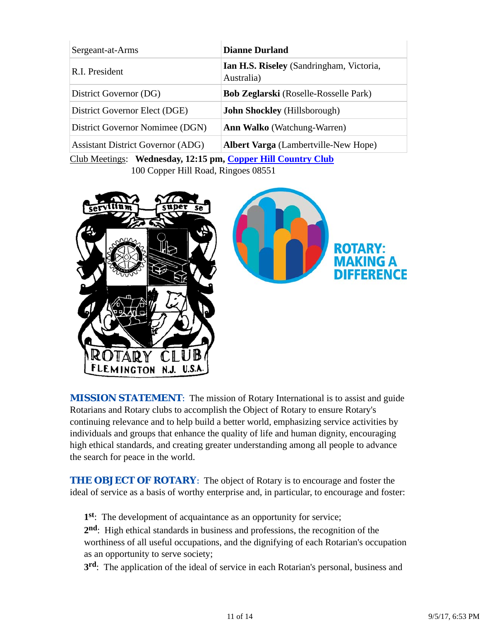| Sergeant-at-Arms                                             | <b>Dianne Durland</b>                                         |  |
|--------------------------------------------------------------|---------------------------------------------------------------|--|
| R.I. President                                               | <b>Ian H.S. Riseley</b> (Sandringham, Victoria,<br>Australia) |  |
| District Governor (DG)                                       | <b>Bob Zeglarski</b> (Roselle-Rosselle Park)                  |  |
| District Governor Elect (DGE)                                | <b>John Shockley</b> (Hillsborough)                           |  |
| District Governor Nomimee (DGN)                              | <b>Ann Walko</b> (Watchung-Warren)                            |  |
| <b>Assistant District Governor (ADG)</b>                     | <b>Albert Varga</b> (Lambertville-New Hope)                   |  |
| Club Meetings: Wednesday, 12:15 pm, Copper Hill Country Club |                                                               |  |

100 Copper Hill Road, Ringoes 08551





**MISSION STATEMENT:** The mission of Rotary International is to assist and guide Rotarians and Rotary clubs to accomplish the Object of Rotary to ensure Rotary's continuing relevance and to help build a better world, emphasizing service activities by individuals and groups that enhance the quality of life and human dignity, encouraging high ethical standards, and creating greater understanding among all people to advance the search for peace in the world.

**THE OBJECT OF ROTARY:** The object of Rotary is to encourage and foster the ideal of service as a basis of worthy enterprise and, in particular, to encourage and foster:

**1st**: The development of acquaintance as an opportunity for service;

**2nd**: High ethical standards in business and professions, the recognition of the worthiness of all useful occupations, and the dignifying of each Rotarian's occupation as an opportunity to serve society;

**3rd**: The application of the ideal of service in each Rotarian's personal, business and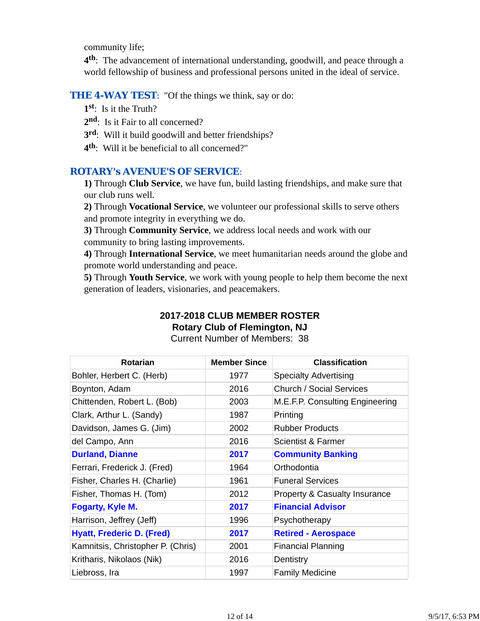community life;

**4th**: The advancement of international understanding, goodwill, and peace through a world fellowship of business and professional persons united in the ideal of service.

#### **THE 4-WAY TEST:** "Of the things we think, say or do:

**1st**: Is it the Truth?

- 2<sup>nd</sup>: Is it Fair to all concerned?
- **3rd**: Will it build goodwill and better friendships?
- **4th**: Will it be beneficial to all concerned?"

## *ROTARY's AVENUE'S OF SERVICE*:

**1)** Through **Club Service**, we have fun, build lasting friendships, and make sure that our club runs well.

**2)** Through **Vocational Service**, we volunteer our professional skills to serve others and promote integrity in everything we do.

**3)** Through **Community Service**, we address local needs and work with our community to bring lasting improvements.

**4)** Through **International Service**, we meet humanitarian needs around the globe and promote world understanding and peace.

**5)** Through **Youth Service**, we work with young people to help them become the next generation of leaders, visionaries, and peacemakers.

#### **2017-2018 CLUB MEMBER ROSTER Rotary Club of Flemington, NJ**

|  |  | Rotary Club of Flemington, NJ |  |
|--|--|-------------------------------|--|
|  |  |                               |  |

Current Number of Members: 38

| <b>Rotarian</b>                   | <b>Member Since</b> | <b>Classification</b>                    |
|-----------------------------------|---------------------|------------------------------------------|
| Bohler, Herbert C. (Herb)         | 1977                | <b>Specialty Advertising</b>             |
| Boynton, Adam                     | 2016                | <b>Church / Social Services</b>          |
| Chittenden, Robert L. (Bob)       | 2003                | M.E.F.P. Consulting Engineering          |
| Clark, Arthur L. (Sandy)          | 1987                | Printing                                 |
| Davidson, James G. (Jim)          | 2002                | <b>Rubber Products</b>                   |
| del Campo, Ann                    | 2016                | Scientist & Farmer                       |
| <b>Durland, Dianne</b>            | 2017                | <b>Community Banking</b>                 |
| Ferrari, Frederick J. (Fred)      | 1964                | Orthodontia                              |
| Fisher, Charles H. (Charlie)      | 1961                | <b>Funeral Services</b>                  |
| Fisher, Thomas H. (Tom)           | 2012                | <b>Property &amp; Casualty Insurance</b> |
| <b>Fogarty, Kyle M.</b>           | 2017                | <b>Financial Advisor</b>                 |
| Harrison, Jeffrey (Jeff)          | 1996                | Psychotherapy                            |
| <b>Hyatt, Frederic D. (Fred)</b>  | 2017                | <b>Retired - Aerospace</b>               |
| Kamnitsis, Christopher P. (Chris) | 2001                | <b>Financial Planning</b>                |
| Kritharis, Nikolaos (Nik)         | 2016                | Dentistry                                |
| Liebross, Ira                     | 1997                | <b>Family Medicine</b>                   |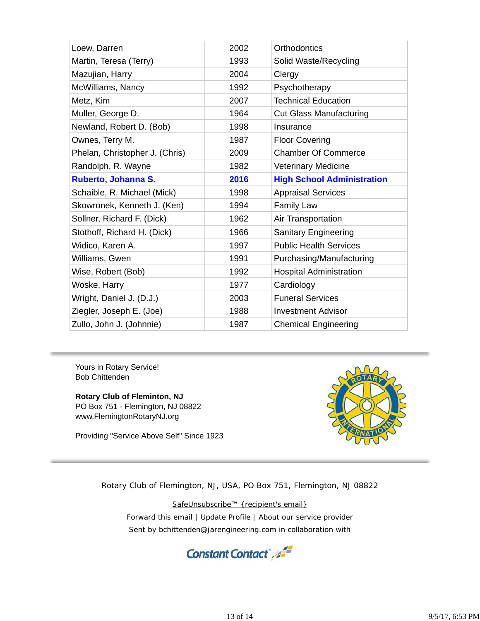| Loew, Darren                   | 2002 | Orthodontics                      |
|--------------------------------|------|-----------------------------------|
| Martin, Teresa (Terry)         | 1993 | Solid Waste/Recycling             |
| Mazujian, Harry                | 2004 | Clergy                            |
| McWilliams, Nancy              | 1992 | Psychotherapy                     |
| Metz, Kim                      | 2007 | <b>Technical Education</b>        |
| Muller, George D.              | 1964 | <b>Cut Glass Manufacturing</b>    |
| Newland, Robert D. (Bob)       | 1998 | Insurance                         |
| Ownes, Terry M.                | 1987 | <b>Floor Covering</b>             |
| Phelan, Christopher J. (Chris) | 2009 | <b>Chamber Of Commerce</b>        |
| Randolph, R. Wayne             | 1982 | <b>Veterinary Medicine</b>        |
| Ruberto, Johanna S.            | 2016 | <b>High School Administration</b> |
|                                |      |                                   |
| Schaible, R. Michael (Mick)    | 1998 | <b>Appraisal Services</b>         |
| Skowronek, Kenneth J. (Ken)    | 1994 | <b>Family Law</b>                 |
| Sollner, Richard F. (Dick)     | 1962 | Air Transportation                |
| Stothoff, Richard H. (Dick)    | 1966 | <b>Sanitary Engineering</b>       |
| Widico, Karen A.               | 1997 | <b>Public Health Services</b>     |
| Williams, Gwen                 | 1991 | Purchasing/Manufacturing          |
| Wise, Robert (Bob)             | 1992 | <b>Hospital Administration</b>    |
| Woske, Harry                   | 1977 | Cardiology                        |
| Wright, Daniel J. (D.J.)       | 2003 | <b>Funeral Services</b>           |
| Ziegler, Joseph E. (Joe)       | 1988 | <b>Investment Advisor</b>         |

Yours in Rotary Service! Bob Chittenden

**Rotary Club of Fleminton, NJ** PO Box 751 - Flemington, NJ 08822 www.FlemingtonRotaryNJ.org

Providing "Service Above Self" Since 1923



Rotary Club of Flemington, NJ, USA, PO Box 751, Flemington, NJ 08822

SafeUnsubscribe™ {recipient's email} Forward this email | Update Profile | About our service provider Sent by bchittenden@jarengineering.com in collaboration with